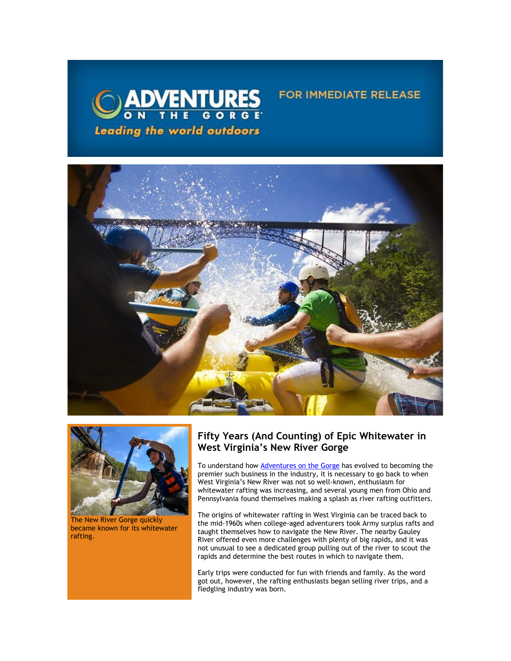





The New River Gorge quickly became known for its whitewater rafting.

# **Fifty Years (And Counting) of Epic Whitewater in West Virginia's New River Gorge**

FOR IMMEDIATE RELEASE

To understand how **[Adventures on the Gorge](https://click.icptrack.com/icp/relay.php?r=13440961&msgid=470953&act=3SPQ&c=1378153&destination=http%3A%2F%2Fwww.adventuresonthegorge.com%2F&cf=13608&v=5a6d29c5bd89500c6946838c97b8849561ebbd48dbb2fdae9fe0068cb3f8e60e)** has evolved to becoming the premier such business in the industry, it is necessary to go back to when West Virginia's New River was not so well-known, enthusiasm for whitewater rafting was increasing, and several young men from Ohio and Pennsylvania found themselves making a splash as river rafting outfitters.

The origins of whitewater rafting in West Virginia can be traced back to the mid-1960s when college-aged adventurers took Army surplus rafts and taught themselves how to navigate the New River. The nearby Gauley River offered even more challenges with plenty of big rapids, and it was not unusual to see a dedicated group pulling out of the river to scout the rapids and determine the best routes in which to navigate them.

Early trips were conducted for fun with friends and family. As the word got out, however, the rafting enthusiasts began selling river trips, and a fledgling industry was born.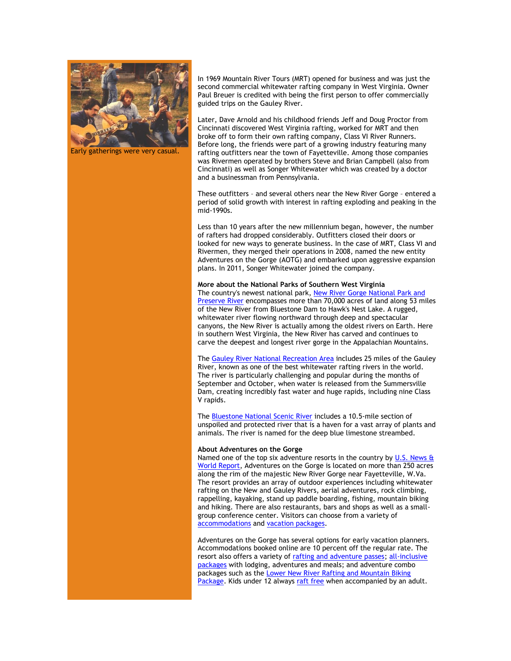

Early gatherings were very casual.

In 1969 Mountain River Tours (MRT) opened for business and was just the second commercial whitewater rafting company in West Virginia. Owner Paul Breuer is credited with being the first person to offer commercially guided trips on the Gauley River.

Later, Dave Arnold and his childhood friends Jeff and Doug Proctor from Cincinnati discovered West Virginia rafting, worked for MRT and then broke off to form their own rafting company, Class VI River Runners. Before long, the friends were part of a growing industry featuring many rafting outfitters near the town of Fayetteville. Among those companies was Rivermen operated by brothers Steve and Brian Campbell (also from Cincinnati) as well as Songer Whitewater which was created by a doctor and a businessman from Pennsylvania.

These outfitters – and several others near the New River Gorge – entered a period of solid growth with interest in rafting exploding and peaking in the mid-1990s.

Less than 10 years after the new millennium began, however, the number of rafters had dropped considerably. Outfitters closed their doors or looked for new ways to generate business. In the case of MRT, Class VI and Rivermen, they merged their operations in 2008, named the new entity Adventures on the Gorge (AOTG) and embarked upon aggressive expansion plans. In 2011, Songer Whitewater joined the company.

### **More about the National Parks of Southern West Virginia**

The country's newest national park, [New River Gorge National Park and](https://click.icptrack.com/icp/relay.php?r=13440961&msgid=470953&act=3SPQ&c=1378153&destination=http%3A%2F%2Fwww.nps.gov%2Fneri%2Fa-river-runs-through-it.htm&cf=13608&v=75b37d8582bff2291d515d16476570bb40db95ce34a8dbd54f18d68eeb241b15)  [Preserve River](https://click.icptrack.com/icp/relay.php?r=13440961&msgid=470953&act=3SPQ&c=1378153&destination=http%3A%2F%2Fwww.nps.gov%2Fneri%2Fa-river-runs-through-it.htm&cf=13608&v=75b37d8582bff2291d515d16476570bb40db95ce34a8dbd54f18d68eeb241b15) encompasses more than 70,000 acres of land along 53 miles of the New River from Bluestone Dam to Hawk's Nest Lake. A rugged, whitewater river flowing northward through deep and spectacular canyons, the New River is actually among the oldest rivers on Earth. Here in southern West Virginia, the New River has carved and continues to carve the deepest and longest river gorge in the Appalachian Mountains.

The [Gauley River National Recreation Area](https://click.icptrack.com/icp/relay.php?r=13440961&msgid=470953&act=3SPQ&c=1378153&destination=http%3A%2F%2Fwww.nps.gov%2Fgari%2Findex.htm&cf=13608&v=bc32170d6fa9c8c248f0a16bd655a0901c0c06a019af6c0d4e0c1d8807f27540) includes 25 miles of the Gauley River, known as one of the best whitewater rafting rivers in the world. The river is particularly challenging and popular during the months of September and October, when water is released from the Summersville Dam, creating incredibly fast water and huge rapids, including nine Class V rapids.

The [Bluestone National Scenic River](https://click.icptrack.com/icp/relay.php?r=13440961&msgid=470953&act=3SPQ&c=1378153&destination=http%3A%2F%2Fwww.nps.gov%2Fblue%2Findex.htm&cf=13608&v=9f8f13e1b51f070152bd2175e374ebd27a8f725e0d3215b73c65dd613554ff76) includes a 10.5-mile section of unspoiled and protected river that is a haven for a vast array of plants and animals. The river is named for the deep blue limestone streambed.

#### **About Adventures on the Gorge**

Named one of the top six adventure resorts in the country by U.S. News & [World Report,](https://click.icptrack.com/icp/relay.php?r=13440961&msgid=470953&act=3SPQ&c=1378153&destination=http%3A%2F%2Ftravel.usnews.com%2Fgallery%2Famericas-6-top-adventure-resorts&cf=13608&v=764bfdbe430f777c5bcc69b025c1a8805ca5cbb157f8c18454c411b272e07901) Adventures on the Gorge is located on more than 250 acres along the rim of the majestic New River Gorge near Fayetteville, W.Va. The resort provides an array of outdoor experiences including whitewater rafting on the New and Gauley Rivers, aerial adventures, rock climbing, rappelling, kayaking, stand up paddle boarding, fishing, mountain biking and hiking. There are also restaurants, bars and shops as well as a smallgroup conference center. Visitors can choose from a variety of [accommodations](https://click.icptrack.com/icp/relay.php?r=13440961&msgid=470953&act=3SPQ&c=1378153&destination=https%3A%2F%2Fadventuresonthegorge.com%2Flodging%2F&cf=13608&v=a0a1ec07ee637c78242d3333295573a8e337130c936224b8e1d32f73fd9e88eb) and [vacation packages.](https://click.icptrack.com/icp/relay.php?r=13440961&msgid=470953&act=3SPQ&c=1378153&destination=https%3A%2F%2Fadventuresonthegorge.com%2Fpackages%2F&cf=13608&v=8751df1b896b42a43c8f638cff3537e1a0bec91ccd87a43021a073a818c593de)

Adventures on the Gorge has several options for early vacation planners. Accommodations booked online are 10 percent off the regular rate. The resort also offers a variety of [rafting and adventure passes;](https://click.icptrack.com/icp/relay.php?r=13440961&msgid=470953&act=3SPQ&c=1378153&destination=https%3A%2F%2Fadventuresonthegorge.com%2F2020-adventure-passes%2F&cf=13608&v=d3096b67936a5b3ffd22faeca8e8963a2582109e23f69a1409fb392cb51a8fa7) all-inclusive [packages](https://click.icptrack.com/icp/relay.php?r=13440961&msgid=470953&act=3SPQ&c=1378153&destination=https%3A%2F%2Fadventuresonthegorge.com%2Fpackages%2F&cf=13608&v=8751df1b896b42a43c8f638cff3537e1a0bec91ccd87a43021a073a818c593de) with lodging, adventures and meals; and adventure combo packages such as the [Lower New River Rafting and Mountain Biking](https://click.icptrack.com/icp/relay.php?r=13440961&msgid=470953&act=3SPQ&c=1378153&destination=https%3A%2F%2Fadventuresonthegorge.com%2Fpackages%2F1-day-adventure-combo-packages%2Flower-new-river-mountain-biking-package%2F&cf=13608&v=b4713ccab202ddd2de0c3d1954cac50f205be97ff8b1f398b3b771400fa8e6e5)  [Package.](https://click.icptrack.com/icp/relay.php?r=13440961&msgid=470953&act=3SPQ&c=1378153&destination=https%3A%2F%2Fadventuresonthegorge.com%2Fpackages%2F1-day-adventure-combo-packages%2Flower-new-river-mountain-biking-package%2F&cf=13608&v=b4713ccab202ddd2de0c3d1954cac50f205be97ff8b1f398b3b771400fa8e6e5) Kids under 12 always [raft free](https://click.icptrack.com/icp/relay.php?r=13440961&msgid=470953&act=3SPQ&c=1378153&destination=https%3A%2F%2Fadventuresonthegorge.com%2Foffers-and-discounts%2F&cf=13608&v=8ce5b48ee04feb9cfa1fc6e67e42d97af34b011f25b06956fde3d446df10ff49) when accompanied by an adult.